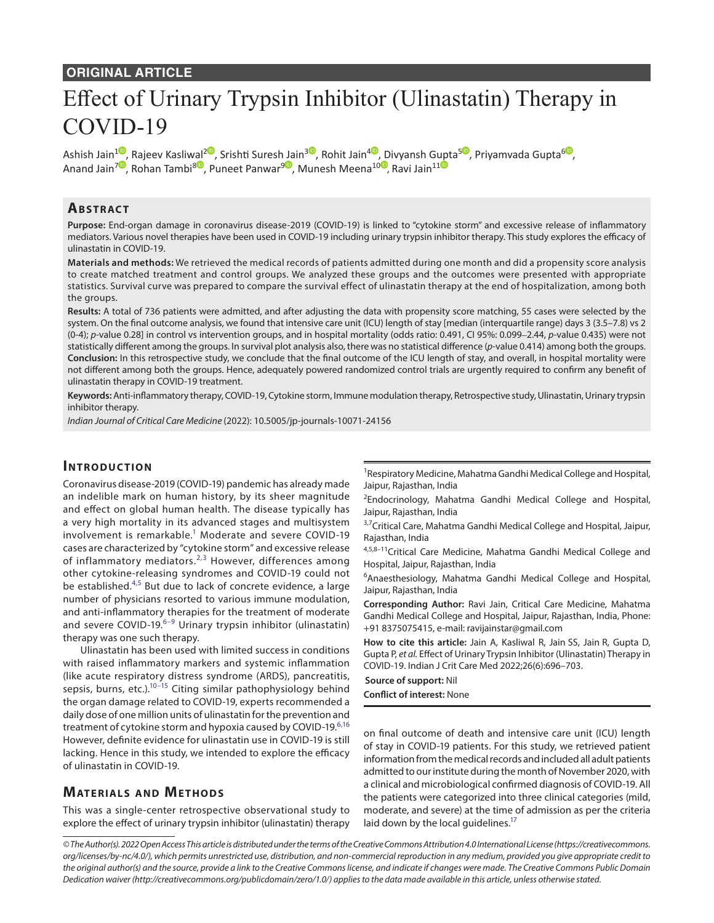### **ORIGINAL ARTICLE**

# Effect of Urinary Trypsin Inhibitor (Ulinastatin) Therapy in COVID-19

Ashish Jain<sup>[1](https://orcid.org/0000-0001-9310-3911)0</sup>, Rajeev Kasli[wal](https://orcid.org/0000-0002-7700-4910)<sup>[2](https://orcid.org/0000-0002-2377-6616)0</sup>, Srishti Sures[h Ja](https://orcid.org/0000-0003-1436-1416)in<sup>[3](https://orcid.org/0000-0001-8355-1497)0</sup>, Rohit Jain<sup>[4](https://orcid.org/0000-0002-3776-4093)0</sup>[, D](https://orcid.org/ 0000-0002-7431-6142)ivyansh G[upt](https://orcid.org/0000-0001-9260-479X)a<sup>[5](https://orcid.org/0000-0003-2067-0311)0</sup>, Priyamvada Gupta<sup>[6](https://orcid.org/0000-0002-6437-1447)0</sup>, Anand Jain<sup>7</sup>[,](https://orcid.org/0000-0002-7973-8643) Rohan Tambi<sup>8</sup>, Puneet Panwar<sup>9</sup>, Munesh Meena<sup>10</sup>, Ravi Jain<sup>11</sup>

## **ABSTRACT**

**Purpose:** End-organ damage in coronavirus disease-2019 (COVID-19) is linked to "cytokine storm" and excessive release of inflammatory mediators. Various novel therapies have been used in COVID-19 including urinary trypsin inhibitor therapy. This study explores the efficacy of ulinastatin in COVID-19.

**Materials and methods:** We retrieved the medical records of patients admitted during one month and did a propensity score analysis to create matched treatment and control groups. We analyzed these groups and the outcomes were presented with appropriate statistics. Survival curve was prepared to compare the survival effect of ulinastatin therapy at the end of hospitalization, among both the groups.

**Results:** A total of 736 patients were admitted, and after adjusting the data with propensity score matching, 55 cases were selected by the system. On the final outcome analysis, we found that intensive care unit (ICU) length of stay [median (interquartile range) days 3 (3.5–7.8) vs 2 (0-4); *p*-value 0.28] in control vs intervention groups, and in hospital mortality (odds ratio: 0.491, CI 95%: 0.099–2.44, *p*-value 0.435) were not statistically different among the groups. In survival plot analysis also, there was no statistical difference (*p*-value 0.414) among both the groups. **Conclusion:** In this retrospective study, we conclude that the final outcome of the ICU length of stay, and overall, in hospital mortality were not different among both the groups. Hence, adequately powered randomized control trials are urgently required to confirm any benefit of ulinastatin therapy in COVID-19 treatment.

**Keywords:** Anti-inflammatory therapy, COVID-19, Cytokine storm, Immune modulation therapy, Retrospective study, Ulinastatin, Urinary trypsin inhibitor therapy.

*Indian Journal of Critical Care Medicine* (2022): 10.5005/jp-journals-10071-24156

#### **INTRODUCTION**

Coronavirus disease-2019 (COVID-19) pandemic has already made an indelible mark on human history, by its sheer magnitude and effect on global human health. The disease typically has a very high mortality in its advanced stages and multisystem involvement is remarkable.<sup>1</sup> Moderate and severe COVID-19 cases are characterized by "cytokine storm" and excessive release of inflammatory mediators.<sup>[2](#page-6-1),[3](#page-6-2)</sup> However, differences among other cytokine-releasing syndromes and COVID-19 could not be established.<sup>[4,](#page-6-3)[5](#page-6-4)</sup> But due to lack of concrete evidence, a large number of physicians resorted to various immune modulation, and anti-inflammatory therapies for the treatment of moderate and severe COVID-19.<sup>[6–](#page-6-5)[9](#page-6-6)</sup> Urinary trypsin inhibitor (ulinastatin) therapy was one such therapy.

Ulinastatin has been used with limited success in conditions with raised inflammatory markers and systemic inflammation (like acute respiratory distress syndrome (ARDS), pancreatitis, sepsis, burns, etc.).<sup>10[–15](#page-6-8)</sup> Citing similar pathophysiology behind the organ damage related to COVID-19, experts recommended a daily dose of one million units of ulinastatin for the prevention and treatment of cytokine storm and hypoxia caused by COVID-19.<sup>[6,](#page-6-5)[16](#page-6-9)</sup> However, definite evidence for ulinastatin use in COVID-19 is still lacking. Hence in this study, we intended to explore the efficacy of ulinastatin in COVID-19.

# **MATERIALS AND METHODS**

This was a single-center retrospective observational study to explore the effect of urinary trypsin inhibitor (ulinastatin) therapy <sup>1</sup> Respiratory Medicine, Mahatma Gandhi Medical College and Hospital, Jaipur, Rajasthan, India

<sup>2</sup>Endocrinology, Mahatma Gandhi Medical College and Hospital, Jaipur, Rajasthan, India

3,7 Critical Care, Mahatma Gandhi Medical College and Hospital, Jaipur, Rajasthan, India

4,5,8-11Critical Care Medicine, Mahatma Gandhi Medical College and Hospital, Jaipur, Rajasthan, India

<sup>6</sup> Anaesthesiology, Mahatma Gandhi Medical College and Hospital, Jaipur, Rajasthan, India

**Corresponding Author:** Ravi Jain, Critical Care Medicine, Mahatma Gandhi Medical College and Hospital, Jaipur, Rajasthan, India, Phone: +91 8375075415, e-mail: ravijainstar@gmail.com

**How to cite this article:** Jain A, Kasliwal R, Jain SS, Jain R, Gupta D, Gupta P, *et al.* Effect of Urinary Trypsin Inhibitor (Ulinastatin) Therapy in COVID-19. Indian J Crit Care Med 2022;26(6):696–703.

**Source of support:** Nil

**Conflict of interest:** None

on final outcome of death and intensive care unit (ICU) length of stay in COVID-19 patients. For this study, we retrieved patient information from the medical records and included all adult patients admitted to our institute during the month of November 2020, with a clinical and microbiological confirmed diagnosis of COVID-19. All the patients were categorized into three clinical categories (mild, moderate, and severe) at the time of admission as per the criteria laid down by the local guidelines.<sup>17</sup>

*© The Author(s). 2022 Open Access This article is distributed under the terms of the Creative Commons Attribution 4.0 International License (https://creativecommons. org/licenses/by-nc/4.0/), which permits unrestricted use, distribution, and non-commercial reproduction in any medium, provided you give appropriate credit to the original author(s) and the source, provide a link to the Creative Commons license, and indicate if changes were made. The Creative Commons Public Domain Dedication waiver (http://creativecommons.org/publicdomain/zero/1.0/) applies to the data made available in this article, unless otherwise stated.*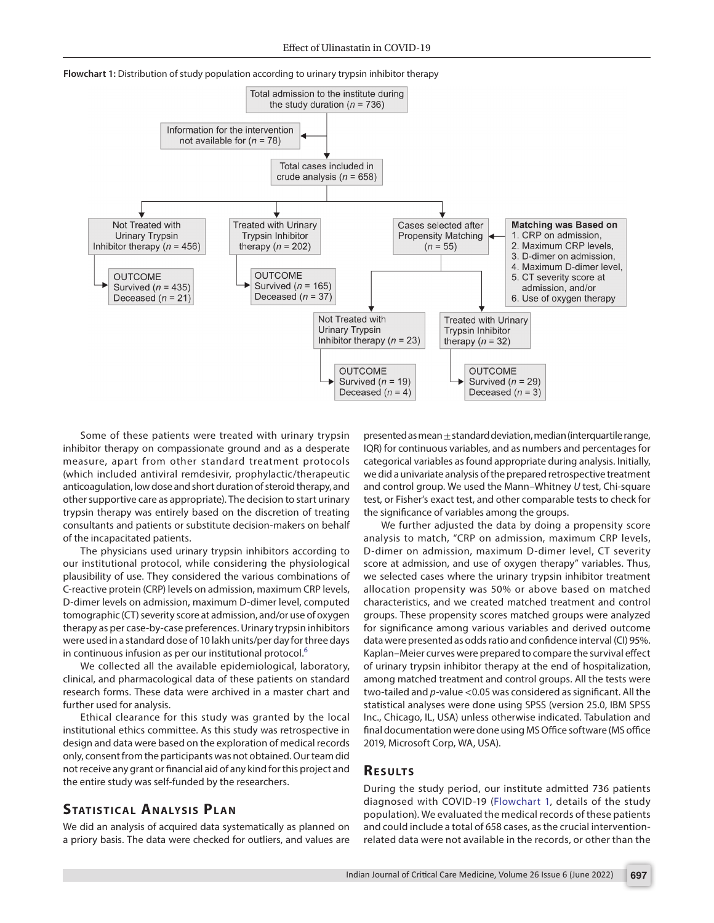<span id="page-1-0"></span>**Flowchart 1:** Distribution of study population according to urinary trypsin inhibitor therapy



Some of these patients were treated with urinary trypsin inhibitor therapy on compassionate ground and as a desperate measure, apart from other standard treatment protocols (which included antiviral remdesivir, prophylactic/therapeutic anticoagulation, low dose and short duration of steroid therapy, and other supportive care as appropriate). The decision to start urinary trypsin therapy was entirely based on the discretion of treating consultants and patients or substitute decision-makers on behalf of the incapacitated patients.

The physicians used urinary trypsin inhibitors according to our institutional protocol, while considering the physiological plausibility of use. They considered the various combinations of C-reactive protein (CRP) levels on admission, maximum CRP levels, D-dimer levels on admission, maximum D-dimer level, computed tomographic (CT) severity score at admission, and/or use of oxygen therapy as per case-by-case preferences. Urinary trypsin inhibitors were used in a standard dose of 10 lakh units/per day for three days in continuous infusion as per our institutional protocol.<sup>[6](#page-6-5)</sup>

We collected all the available epidemiological, laboratory, clinical, and pharmacological data of these patients on standard research forms. These data were archived in a master chart and further used for analysis.

Ethical clearance for this study was granted by the local institutional ethics committee. As this study was retrospective in design and data were based on the exploration of medical records only, consent from the participants was not obtained. Our team did not receive any grant or financial aid of any kind for this project and the entire study was self-funded by the researchers.

# **Statis tical Analysis Plan**

We did an analysis of acquired data systematically as planned on a priory basis. The data were checked for outliers, and values are presented as mean  $\pm$  standard deviation, median (interquartile range, IQR) for continuous variables, and as numbers and percentages for categorical variables as found appropriate during analysis. Initially, we did a univariate analysis of the prepared retrospective treatment and control group. We used the Mann–Whitney *U* test, Chi-square test, or Fisher's exact test, and other comparable tests to check for the significance of variables among the groups.

We further adjusted the data by doing a propensity score analysis to match, "CRP on admission, maximum CRP levels, D-dimer on admission, maximum D-dimer level, CT severity score at admission, and use of oxygen therapy" variables. Thus, we selected cases where the urinary trypsin inhibitor treatment allocation propensity was 50% or above based on matched characteristics, and we created matched treatment and control groups. These propensity scores matched groups were analyzed for significance among various variables and derived outcome data were presented as odds ratio and confidence interval (CI) 95%. Kaplan–Meier curves were prepared to compare the survival effect of urinary trypsin inhibitor therapy at the end of hospitalization, among matched treatment and control groups. All the tests were two-tailed and *p*-value <0.05 was considered as significant. All the statistical analyses were done using SPSS (version 25.0, IBM SPSS Inc., Chicago, IL, USA) unless otherwise indicated. Tabulation and final documentation were done using MS Office software (MS office 2019, Microsoft Corp, WA, USA).

#### **RESULTS**

During the study period, our institute admitted 736 patients diagnosed with COVID-19 ([Flowchart 1,](#page-1-0) details of the study population). We evaluated the medical records of these patients and could include a total of 658 cases, as the crucial interventionrelated data were not available in the records, or other than the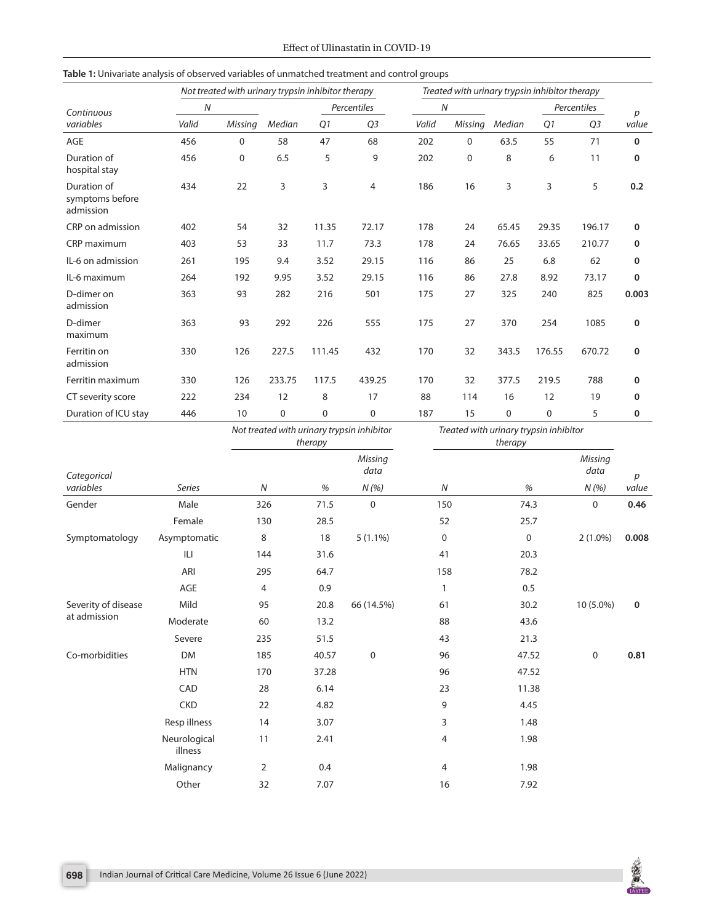|                                             | Not treated with urinary trypsin inhibitor therapy |         |             |        |                | Treated with urinary trypsin inhibitor therapy |             |             |             |                |              |
|---------------------------------------------|----------------------------------------------------|---------|-------------|--------|----------------|------------------------------------------------|-------------|-------------|-------------|----------------|--------------|
| Continuous                                  | N                                                  |         |             |        | Percentiles    | N                                              |             |             | Percentiles |                | p            |
| variables                                   | Valid                                              | Missing | Median      | Q1     | Q <sub>3</sub> | Valid                                          | Missing     | Median      | Q1          | Q <sub>3</sub> | value        |
| <b>AGE</b>                                  | 456                                                | 0       | 58          | 47     | 68             | 202                                            | $\mathbf 0$ | 63.5        | 55          | 71             | $\mathbf 0$  |
| Duration of<br>hospital stay                | 456                                                | 0       | 6.5         | 5      | 9              | 202                                            | $\mathbf 0$ | 8           | 6           | 11             | $\mathbf{0}$ |
| Duration of<br>symptoms before<br>admission | 434                                                | 22      | 3           | 3      | 4              | 186                                            | 16          | 3           | 3           | 5              | 0.2          |
| CRP on admission                            | 402                                                | 54      | 32          | 11.35  | 72.17          | 178                                            | 24          | 65.45       | 29.35       | 196.17         | 0            |
| CRP maximum                                 | 403                                                | 53      | 33          | 11.7   | 73.3           | 178                                            | 24          | 76.65       | 33.65       | 210.77         | 0            |
| IL-6 on admission                           | 261                                                | 195     | 9.4         | 3.52   | 29.15          | 116                                            | 86          | 25          | 6.8         | 62             | $\mathbf 0$  |
| IL-6 maximum                                | 264                                                | 192     | 9.95        | 3.52   | 29.15          | 116                                            | 86          | 27.8        | 8.92        | 73.17          | $\mathbf 0$  |
| D-dimer on<br>admission                     | 363                                                | 93      | 282         | 216    | 501            | 175                                            | 27          | 325         | 240         | 825            | 0.003        |
| D-dimer<br>maximum                          | 363                                                | 93      | 292         | 226    | 555            | 175                                            | 27          | 370         | 254         | 1085           | $\mathbf 0$  |
| Ferritin on<br>admission                    | 330                                                | 126     | 227.5       | 111.45 | 432            | 170                                            | 32          | 343.5       | 176.55      | 670.72         | 0            |
| Ferritin maximum                            | 330                                                | 126     | 233.75      | 117.5  | 439.25         | 170                                            | 32          | 377.5       | 219.5       | 788            | 0            |
| CT severity score                           | 222                                                | 234     | 12          | 8      | 17             | 88                                             | 114         | 16          | 12          | 19             | 0            |
| Duration of ICU stay                        | 446                                                | 10      | $\mathbf 0$ | 0      | 0              | 187                                            | 15          | $\mathbf 0$ | 0           | 5              | 0            |

#### <span id="page-2-0"></span>**Table 1:** Univariate analysis of observed variables of unmatched treatment and control groups

*Not treated with urinary trypsin inhibitor* 

*Treated with urinary trypsin inhibitor* 

|                     |                         |                | therapy |                 | therapy          |       |                  |                  |
|---------------------|-------------------------|----------------|---------|-----------------|------------------|-------|------------------|------------------|
| Categorical         |                         |                |         | Missing<br>data |                  |       | Missing<br>data  | $\boldsymbol{p}$ |
| variables           | <b>Series</b>           | ${\cal N}$     | %       | N(%)            | $\boldsymbol{N}$ | %     | N(%)             | value            |
| Gender              | Male                    | 326            | 71.5    | $\mathbf 0$     | 150              | 74.3  | $\pmb{0}$        | 0.46             |
|                     | Female                  | 130            | 28.5    |                 | 52               | 25.7  |                  |                  |
| Symptomatology      | Asymptomatic            | 8              | 18      | $5(1.1\%)$      | $\mathbf 0$      | 0     | $2(1.0\%)$       | 0.008            |
|                     | ILI                     | 144            | 31.6    |                 | 41               | 20.3  |                  |                  |
|                     | ARI                     | 295            | 64.7    |                 | 158              | 78.2  |                  |                  |
|                     | AGE                     | 4              | 0.9     |                 | $\mathbf{1}$     | 0.5   |                  |                  |
| Severity of disease | Mild                    | 95             | 20.8    | 66 (14.5%)      | 61               | 30.2  | 10 (5.0%)        | $\mathbf 0$      |
| at admission        | Moderate                | 60             | 13.2    |                 | 88               | 43.6  |                  |                  |
|                     | Severe                  | 235            | 51.5    |                 | 43               | 21.3  |                  |                  |
| Co-morbidities      | DM                      | 185            | 40.57   | $\pmb{0}$       | 96               | 47.52 | $\boldsymbol{0}$ | 0.81             |
|                     | <b>HTN</b>              | 170            | 37.28   |                 | 96               | 47.52 |                  |                  |
|                     | CAD                     | 28             | 6.14    |                 | 23               | 11.38 |                  |                  |
|                     | <b>CKD</b>              | 22             | 4.82    |                 | 9                | 4.45  |                  |                  |
|                     | Resp illness            | 14             | 3.07    |                 | 3                | 1.48  |                  |                  |
|                     | Neurological<br>illness | 11             | 2.41    |                 | $\overline{4}$   | 1.98  |                  |                  |
|                     | Malignancy              | $\overline{2}$ | 0.4     |                 | $\overline{4}$   | 1.98  |                  |                  |
|                     | Other                   | 32             | 7.07    |                 | 16               | 7.92  |                  |                  |

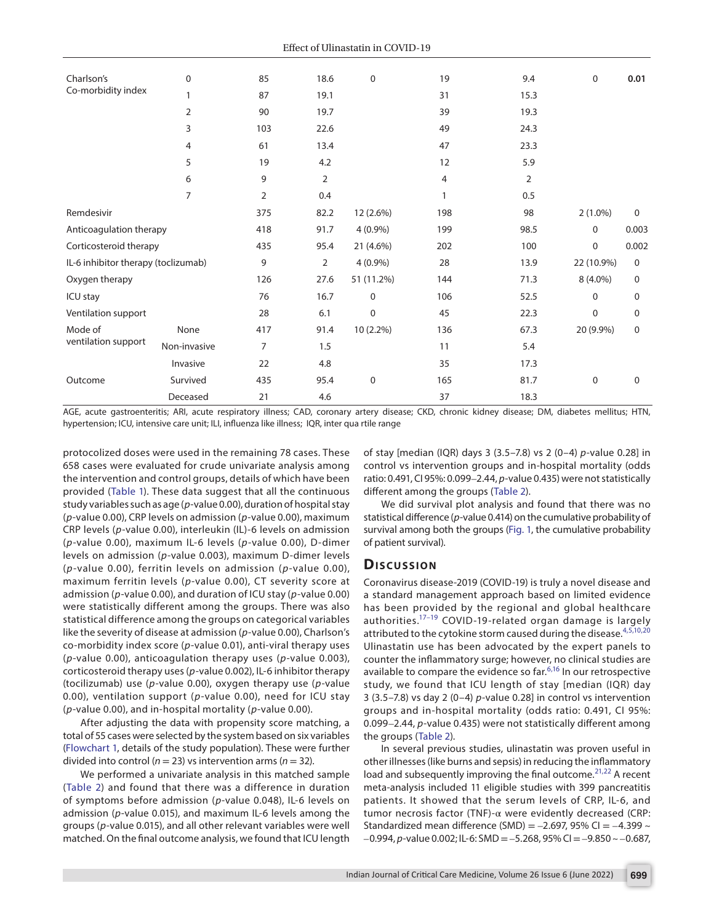| Charlson's                          | $\mathbf 0$    | 85             | 18.6           | $\mathbf 0$ | 19           | 9.4  | $\mathbf 0$ | 0.01        |
|-------------------------------------|----------------|----------------|----------------|-------------|--------------|------|-------------|-------------|
| Co-morbidity index                  | 1              | 87             | 19.1           |             | 31           | 15.3 |             |             |
|                                     | 2              | 90             | 19.7           |             | 39           | 19.3 |             |             |
|                                     | 3              | 103            | 22.6           |             | 49           | 24.3 |             |             |
|                                     | 4              | 61             | 13.4           |             | 47           | 23.3 |             |             |
|                                     | 5              | 19             | 4.2            |             | 12           | 5.9  |             |             |
|                                     | 6              | 9              | $\overline{2}$ |             | 4            | 2    |             |             |
|                                     | $\overline{7}$ | $\overline{2}$ | 0.4            |             | $\mathbf{1}$ | 0.5  |             |             |
| Remdesivir                          |                | 375            | 82.2           | 12 (2.6%)   | 198          | 98   | $2(1.0\%)$  | $\Omega$    |
| Anticoagulation therapy             |                | 418            | 91.7           | $4(0.9\%)$  | 199          | 98.5 | $\mathbf 0$ | 0.003       |
| Corticosteroid therapy              |                | 435            | 95.4           | 21 (4.6%)   | 202          | 100  | $\mathbf 0$ | 0.002       |
| IL-6 inhibitor therapy (toclizumab) |                | 9              | $\overline{2}$ | $4(0.9\%)$  | 28           | 13.9 | 22 (10.9%)  | $\mathbf 0$ |
| Oxygen therapy                      |                | 126            | 27.6           | 51 (11.2%)  | 144          | 71.3 | 8 (4.0%)    | 0           |
| ICU stay                            |                | 76             | 16.7           | $\mathbf 0$ | 106          | 52.5 | $\mathbf 0$ | 0           |
| Ventilation support                 |                | 28             | 6.1            | $\mathbf 0$ | 45           | 22.3 | $\mathbf 0$ | 0           |
| Mode of                             | None           | 417            | 91.4           | 10 (2.2%)   | 136          | 67.3 | 20 (9.9%)   | 0           |
| ventilation support                 | Non-invasive   | $\overline{7}$ | 1.5            |             | 11           | 5.4  |             |             |
|                                     | Invasive       | 22             | 4.8            |             | 35           | 17.3 |             |             |
| Outcome                             | Survived       | 435            | 95.4           | $\mathbf 0$ | 165          | 81.7 | $\mathbf 0$ | 0           |
|                                     | Deceased       | 21             | 4.6            |             | 37           | 18.3 |             |             |

AGE, acute gastroenteritis; ARI, acute respiratory illness; CAD, coronary artery disease; CKD, chronic kidney disease; DM, diabetes mellitus; HTN, hypertension; ICU, intensive care unit; ILI, influenza like illness; IQR, inter qua rtile range

protocolized doses were used in the remaining 78 cases. These 658 cases were evaluated for crude univariate analysis among the intervention and control groups, details of which have been provided ([Table 1](#page-2-0)). These data suggest that all the continuous study variables such as age (*p*-value 0.00), duration of hospital stay (*p*-value 0.00), CRP levels on admission (*p*-value 0.00), maximum CRP levels (*p*-value 0.00), interleukin (IL)-6 levels on admission (*p*-value 0.00), maximum IL-6 levels (*p*-value 0.00), D-dimer levels on admission (*p*-value 0.003), maximum D-dimer levels (*p*-value 0.00), ferritin levels on admission (*p*-value 0.00), maximum ferritin levels (*p*-value 0.00), CT severity score at admission (*p*-value 0.00), and duration of ICU stay (*p*-value 0.00) were statistically different among the groups. There was also statistical difference among the groups on categorical variables like the severity of disease at admission (*p*-value 0.00), Charlson's co-morbidity index score (*p*-value 0.01), anti-viral therapy uses (*p*-value 0.00), anticoagulation therapy uses (*p*-value 0.003), corticosteroid therapy uses (*p*-value 0.002), IL-6 inhibitor therapy (tocilizumab) use (*p*-value 0.00), oxygen therapy use (*p*-value 0.00), ventilation support (*p*-value 0.00), need for ICU stay (*p*-value 0.00), and in-hospital mortality (*p*-value 0.00).

After adjusting the data with propensity score matching, a total of 55 cases were selected by the system based on six variables [\(Flowchart 1,](#page-1-0) details of the study population). These were further divided into control ( $n = 23$ ) vs intervention arms ( $n = 32$ ).

We performed a univariate analysis in this matched sample ([Table 2\)](#page-4-0) and found that there was a difference in duration of symptoms before admission (*p*-value 0.048), IL-6 levels on admission (*p*-value 0.015), and maximum IL-6 levels among the groups (*p*-value 0.015), and all other relevant variables were well matched. On the final outcome analysis, we found that ICU length of stay [median (IQR) days 3 (3.5–7.8) vs 2 (0–4) *p*-value 0.28] in control vs intervention groups and in-hospital mortality (odds ratio: 0.491, CI 95%: 0.099–2.44, *p*-value 0.435) were not statistically different among the groups ([Table 2\)](#page-4-0).

We did survival plot analysis and found that there was no statistical difference (*p*-value 0.414) on the cumulative probability of survival among both the groups [\(Fig. 1,](#page-5-0) the cumulative probability of patient survival).

#### **Dis c u s sio n**

Coronavirus disease-2019 (COVID-19) is truly a novel disease and a standard management approach based on limited evidence has been provided by the regional and global healthcare authorities[.17](#page-6-10)[–19](#page-6-11) COVID-19-related organ damage is largely attributed to the cytokine storm caused during the disease.  $4,5,10,20$  $4,5,10,20$  $4,5,10,20$  $4,5,10,20$  $4,5,10,20$ Ulinastatin use has been advocated by the expert panels to counter the inflammatory surge; however, no clinical studies are available to compare the evidence so far.<sup>[6,](#page-6-5)[16](#page-6-9)</sup> In our retrospective study, we found that ICU length of stay [median (IQR) day 3 (3.5–7.8) vs day 2 (0–4) *p*-value 0.28] in control vs intervention groups and in-hospital mortality (odds ratio: 0.491, CI 95%: 0.099–2.44, *p*-value 0.435) were not statistically different among the groups ([Table 2](#page-4-0)).

In several previous studies, ulinastatin was proven useful in other illnesses (like burns and sepsis) in reducing the inflammatory load and subsequently improving the final outcome.<sup>[21](#page-6-13),[22](#page-7-0)</sup> A recent meta-analysis included 11 eligible studies with 399 pancreatitis patients. It showed that the serum levels of CRP, IL-6, and tumor necrosis factor (TNF)-α were evidently decreased (CRP: Standardized mean difference (SMD) =  $-2.697$ , 95% CI =  $-4.399 \sim$ –0.994, *p*-value 0.002; IL-6: SMD =–5.268, 95% CI =–9.850 ~ –0.687,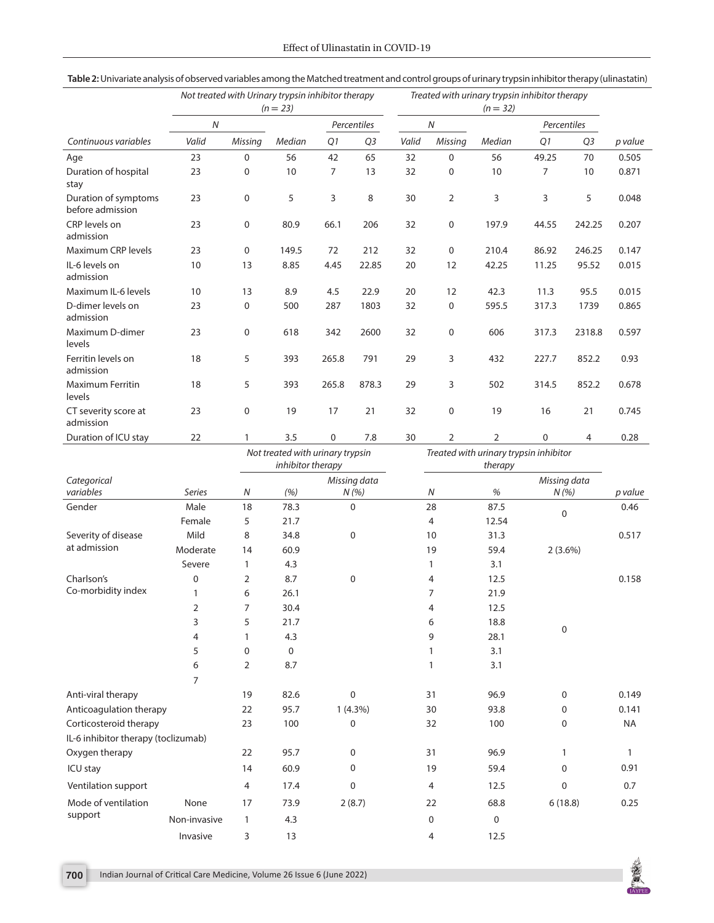|                                          | Not treated with Urinary trypsin inhibitor therapy<br>$(n = 23)$ |             |        |             |                                                                                                                                                                                                                                                                                                                                                                                                                                                                                                                                                                                                                                        |    |                |     |             |       |       |
|------------------------------------------|------------------------------------------------------------------|-------------|--------|-------------|----------------------------------------------------------------------------------------------------------------------------------------------------------------------------------------------------------------------------------------------------------------------------------------------------------------------------------------------------------------------------------------------------------------------------------------------------------------------------------------------------------------------------------------------------------------------------------------------------------------------------------------|----|----------------|-----|-------------|-------|-------|
|                                          | N                                                                |             |        | Percentiles |                                                                                                                                                                                                                                                                                                                                                                                                                                                                                                                                                                                                                                        | N  |                |     | Percentiles |       |       |
| Continuous variables                     | Valid                                                            | Missing     | Median | Q1          | Treated with urinary trypsin inhibitor therapy<br>$(n = 32)$<br>Valid<br>Q <sub>3</sub><br>Q <sub>3</sub><br>Missing<br>Median<br>Q1<br>p value<br>49.25<br>0.505<br>65<br>32<br>0<br>56<br>70<br>13<br>0<br>10<br>7<br>0.871<br>32<br>10<br>$\overline{2}$<br>3<br>8<br>3<br>30<br>5<br>0.048<br>32<br>0<br>197.9<br>206<br>44.55<br>242.25<br>0.207<br>212<br>32<br>0<br>0.147<br>210.4<br>86.92<br>246.25<br>20<br>12<br>0.015<br>22.85<br>42.25<br>11.25<br>95.52<br>22.9<br>20<br>12<br>42.3<br>11.3<br>0.015<br>95.5<br>1803<br>32<br>0<br>595.5<br>317.3<br>0.865<br>1739<br>2600<br>0<br>32<br>606<br>317.3<br>2318.8<br>0.597 |    |                |     |             |       |       |
| Age                                      | 23                                                               | 0           | 56     | 42          |                                                                                                                                                                                                                                                                                                                                                                                                                                                                                                                                                                                                                                        |    |                |     |             |       |       |
| Duration of hospital<br>stay             | 23                                                               | 0           | 10     | 7           |                                                                                                                                                                                                                                                                                                                                                                                                                                                                                                                                                                                                                                        |    |                |     |             |       |       |
| Duration of symptoms<br>before admission | 23                                                               | $\mathbf 0$ | 5      | 3           |                                                                                                                                                                                                                                                                                                                                                                                                                                                                                                                                                                                                                                        |    |                |     |             |       |       |
| CRP levels on<br>admission               | 23                                                               | $\mathbf 0$ | 80.9   | 66.1        |                                                                                                                                                                                                                                                                                                                                                                                                                                                                                                                                                                                                                                        |    |                |     |             |       |       |
| Maximum CRP levels                       | 23                                                               | $\mathbf 0$ | 149.5  | 72          |                                                                                                                                                                                                                                                                                                                                                                                                                                                                                                                                                                                                                                        |    |                |     |             |       |       |
| IL-6 levels on<br>admission              | 10                                                               | 13          | 8.85   | 4.45        |                                                                                                                                                                                                                                                                                                                                                                                                                                                                                                                                                                                                                                        |    |                |     |             |       |       |
| Maximum IL-6 levels                      | 10                                                               | 13          | 8.9    | 4.5         |                                                                                                                                                                                                                                                                                                                                                                                                                                                                                                                                                                                                                                        |    |                |     |             |       |       |
| D-dimer levels on<br>admission           | 23                                                               | 0           | 500    | 287         |                                                                                                                                                                                                                                                                                                                                                                                                                                                                                                                                                                                                                                        |    |                |     |             |       |       |
| Maximum D-dimer<br>levels                | 23                                                               | $\mathbf 0$ | 618    | 342         |                                                                                                                                                                                                                                                                                                                                                                                                                                                                                                                                                                                                                                        |    |                |     |             |       |       |
| Ferritin levels on<br>admission          | 18                                                               | 5           | 393    | 265.8       | 791                                                                                                                                                                                                                                                                                                                                                                                                                                                                                                                                                                                                                                    | 29 | 3              | 432 | 227.7       | 852.2 | 0.93  |
| <b>Maximum Ferritin</b><br>levels        | 18                                                               | 5           | 393    | 265.8       | 878.3                                                                                                                                                                                                                                                                                                                                                                                                                                                                                                                                                                                                                                  | 29 | 3              | 502 | 314.5       | 852.2 | 0.678 |
| CT severity score at<br>admission        | 23                                                               | $\mathbf 0$ | 19     | 17          | 21                                                                                                                                                                                                                                                                                                                                                                                                                                                                                                                                                                                                                                     | 32 | 0              | 19  | 16          | 21    | 0.745 |
| Duration of ICU stay                     | 22                                                               | 1           | 3.5    | 0           | 7.8                                                                                                                                                                                                                                                                                                                                                                                                                                                                                                                                                                                                                                    | 30 | $\overline{2}$ | 2   | 0           | 4     | 0.28  |

<span id="page-4-0"></span>

|  | Table 2: Univariate analysis of observed variables among the Matched treatment and control groups of urinary trypsin inhibitor therapy (ulinastatin) |
|--|------------------------------------------------------------------------------------------------------------------------------------------------------|
|--|------------------------------------------------------------------------------------------------------------------------------------------------------|

|                                     |                | Not treated with urinary trypsin<br>inhibitor therapy |             |              | Treated with urinary trypsin inhibitor |       |                  |           |
|-------------------------------------|----------------|-------------------------------------------------------|-------------|--------------|----------------------------------------|-------|------------------|-----------|
|                                     |                |                                                       |             |              |                                        |       |                  |           |
| Categorical                         |                |                                                       |             | Missing data |                                        |       | Missing data     |           |
| variables                           | <b>Series</b>  | N                                                     | (%)         | N(%)         | N                                      | $\%$  | N(%)             | p value   |
| Gender                              | Male           | 18                                                    | 78.3        | 0            | 28                                     | 87.5  | $\boldsymbol{0}$ | 0.46      |
|                                     | Female         | 5                                                     | 21.7        |              | 4                                      | 12.54 |                  |           |
| Severity of disease                 | Mild           | 8                                                     | 34.8        | 0            | 10                                     | 31.3  |                  | 0.517     |
| at admission                        | Moderate       | 14                                                    | 60.9        |              | 19                                     | 59.4  | $2(3.6\%)$       |           |
|                                     | Severe         | 1                                                     | 4.3         |              | 1                                      | 3.1   |                  |           |
| Charlson's                          | $\Omega$       | 2                                                     | 8.7         | $\mathbf 0$  | 4                                      | 12.5  |                  | 0.158     |
| Co-morbidity index                  | 1              | 6                                                     | 26.1        |              | 7                                      | 21.9  |                  |           |
|                                     | 2              | 7                                                     | 30.4        |              | 4                                      | 12.5  |                  |           |
|                                     | 3              | 5                                                     | 21.7        |              | 6                                      | 18.8  |                  |           |
|                                     | 4              | 1                                                     | 4.3         |              | 9                                      | 28.1  | 0                |           |
|                                     | 5              | $\mathbf 0$                                           | $\mathbf 0$ |              |                                        | 3.1   |                  |           |
|                                     | 6              | $\overline{2}$                                        | 8.7         |              |                                        | 3.1   |                  |           |
|                                     | $\overline{7}$ |                                                       |             |              |                                        |       |                  |           |
| Anti-viral therapy                  |                | 19                                                    | 82.6        | $\mathbf 0$  | 31                                     | 96.9  | 0                | 0.149     |
| Anticoagulation therapy             |                | 22                                                    | 95.7        | $1(4.3\%)$   | 30                                     | 93.8  | $\mathbf 0$      | 0.141     |
| Corticosteroid therapy              |                | 23                                                    | 100         | $\mathbf 0$  | 32                                     | 100   | $\mathbf 0$      | <b>NA</b> |
| IL-6 inhibitor therapy (toclizumab) |                |                                                       |             |              |                                        |       |                  |           |
| Oxygen therapy                      |                | 22                                                    | 95.7        | 0            | 31                                     | 96.9  | 1                | 1         |
| ICU stay                            |                | 14                                                    | 60.9        | 0            | 19                                     | 59.4  | $\mathbf 0$      | 0.91      |
| Ventilation support                 |                | $\overline{4}$                                        | 17.4        | $\mathbf{0}$ | 4                                      | 12.5  | $\mathbf 0$      | 0.7       |
| Mode of ventilation                 | None           | 17                                                    | 73.9        | 2(8.7)       | 22                                     | 68.8  | 6(18.8)          | 0.25      |
| support                             | Non-invasive   | $\mathbf{1}$                                          | 4.3         |              | $\Omega$                               | 0     |                  |           |
|                                     | Invasive       | 3                                                     | 13          |              | 4                                      | 12.5  |                  |           |

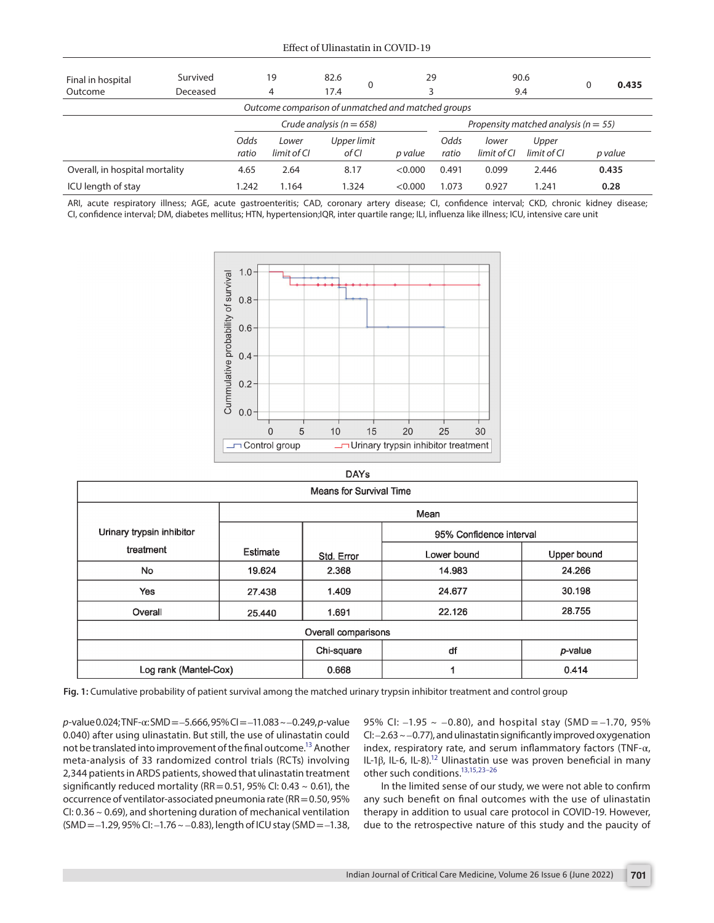| Final in hospital<br>Outcome                                     | Survived<br>Deceased |               | 19<br>4                      | 82.6<br>$\mathbf 0$<br>17.4 | 29<br>3 |               | 90.6<br>9.4                              |                      | 0     | 0.435   |
|------------------------------------------------------------------|----------------------|---------------|------------------------------|-----------------------------|---------|---------------|------------------------------------------|----------------------|-------|---------|
| Outcome comparison of unmatched and matched groups               |                      |               |                              |                             |         |               |                                          |                      |       |         |
|                                                                  |                      |               | Crude analysis ( $n = 658$ ) |                             |         |               | Propensity matched analysis ( $n = 55$ ) |                      |       |         |
|                                                                  |                      | Odds<br>ratio | Lower<br>limit of Cl         | Upper limit<br>of Cl        | p value | Odds<br>ratio | Iower<br>limit of Cl                     | Upper<br>limit of Cl |       | p value |
| Overall, in hospital mortality<br>8.17<br>4.65<br><0.000<br>2.64 |                      |               |                              |                             | 0.491   | 0.099         | 2.446                                    |                      | 0.435 |         |
| ICU length of stay                                               |                      | 1.242         | 1.164                        | .324                        | < 0.000 | 1.073         | 0.927                                    | 1.241                |       | 0.28    |

ARI, acute respiratory illness; AGE, acute gastroenteritis; CAD, coronary artery disease; CI, confidence interval; CKD, chronic kidney disease; CI, confidence interval; DM, diabetes mellitus; HTN, hypertension;IQR, inter quartile range; ILI, influenza like illness; ICU, intensive care unit



#### **DAYs**

| <b>Means for Survival Time</b> |          |            |                         |             |  |  |  |  |  |
|--------------------------------|----------|------------|-------------------------|-------------|--|--|--|--|--|
|                                | Mean     |            |                         |             |  |  |  |  |  |
| Urinary trypsin inhibitor      |          |            | 95% Confidence interval |             |  |  |  |  |  |
| treatment                      | Estimate | Std. Error | Lower bound             | Upper bound |  |  |  |  |  |
| No                             | 19.624   | 2.368      | 14.983                  | 24.266      |  |  |  |  |  |
| <b>Yes</b>                     | 27.438   | 1.409      | 24.677                  | 30.198      |  |  |  |  |  |
| Overall                        | 25.440   | 1.691      | 22.126                  | 28.755      |  |  |  |  |  |
| Overall comparisons            |          |            |                         |             |  |  |  |  |  |
|                                |          | Chi-square | df                      | p-value     |  |  |  |  |  |
| Log rank (Mantel-Cox)          |          | 0.668      |                         | 0.414       |  |  |  |  |  |

<span id="page-5-0"></span>**Fig. 1:** Cumulative probability of patient survival among the matched urinary trypsin inhibitor treatment and control group

*p*-value 0.024; TNF-α: SMD =–5.666, 95% CI =–11.083 ~–0.249, *p*-value 0.040) after using ulinastatin. But still, the use of ulinastatin could not be translated into improvement of the final outcome[.13](#page-6-14) Another meta-analysis of 33 randomized control trials (RCTs) involving 2,344 patients in ARDS patients, showed that ulinastatin treatment significantly reduced mortality (RR = 0.51, 95% CI: 0.43  $\sim$  0.61), the occurrence of ventilator-associated pneumonia rate (RR=0.50, 95% CI: 0.36 ~ 0.69), and shortening duration of mechanical ventilation (SMD=–1.29, 95% CI: –1.76 ~ –0.83), length of ICU stay (SMD=–1.38,

95% CI:  $-1.95 \sim -0.80$ ), and hospital stay (SMD =  $-1.70$ , 95%  $Cl: -2.63 \sim -0.77$ ), and ulinastatin significantly improved oxygenation index, respiratory rate, and serum inflammatory factors (TNF- $\alpha$ , IL-1β, IL-6, IL-8).<sup>12</sup> Ulinastatin use was proven beneficial in many other such conditions[.13](#page-6-14),[15,](#page-6-8)[23–](#page-7-1)[26](#page-7-2)

In the limited sense of our study, we were not able to confirm any such benefit on final outcomes with the use of ulinastatin therapy in addition to usual care protocol in COVID-19. However, due to the retrospective nature of this study and the paucity of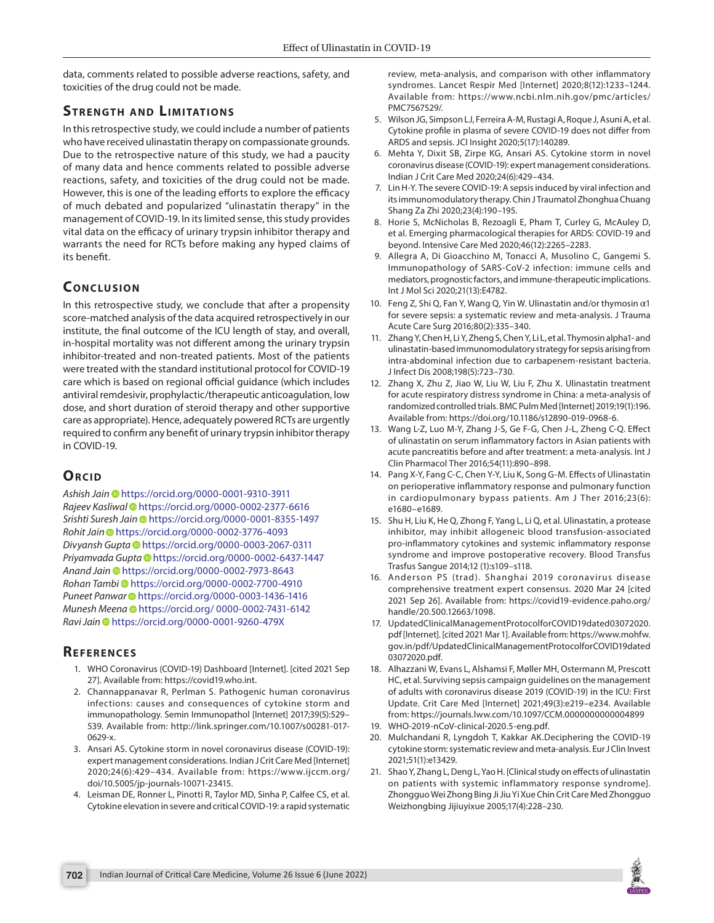data, comments related to possible adverse reactions, safety, and toxicities of the drug could not be made.

# **STRENGTH AND LIMITATIONS**

In this retrospective study, we could include a number of patients who have received ulinastatin therapy on compassionate grounds. Due to the retrospective nature of this study, we had a paucity of many data and hence comments related to possible adverse reactions, safety, and toxicities of the drug could not be made. However, this is one of the leading efforts to explore the efficacy of much debated and popularized "ulinastatin therapy" in the management of COVID-19. In its limited sense, this study provides vital data on the efficacy of urinary trypsin inhibitor therapy and warrants the need for RCTs before making any hyped claims of its benefit.

# **CONCLUSION**

In this retrospective study, we conclude that after a propensity score-matched analysis of the data acquired retrospectively in our institute, the final outcome of the ICU length of stay, and overall, in-hospital mortality was not different among the urinary trypsin inhibitor-treated and non-treated patients. Most of the patients were treated with the standard institutional protocol for COVID-19 care which is based on regional official guidance (which includes antiviral remdesivir, prophylactic/therapeutic anticoagulation, low dose, and short duration of steroid therapy and other supportive care as appropriate). Hence, adequately powered RCTs are urgently required to confirm any benefit of urinary trypsin inhibitor therapy in COVID-19.

# **ORCID**

*Ashish Jain* [h](https://orcid.org/0000-0001-9310-3911)ttps://orcid.org/0000-0001-9310-3911 *Rajeev Kasliwa[l](https://orcid.org/0000-0002-2377-6616)* https://orcid.org/0000-0002-2377-6616 *Srishti Suresh Jain*https://orcid.org/0000-0001-8355-1497 *Rohit Jai[n](https://orcid.org/0000-0002-3776-4093)* https://orcid.org/0000-0002-3776-4093 *Divyansh Gupt[a](https://orcid.org/0000-0003-2067-0311)* https://orcid.org/0000-0003-2067-0311 *Priyamvada Gupt[a](https://orcid.org/0000-0002-6437-1447)* https://orcid.org/0000-0002-6437-1447 *Anand Jain* [h](https://orcid.org/0000-0002-7973-8643)ttps://orcid.org/0000-0002-7973-8643 *Rohan Tamb[i](https://orcid.org/0000-0002-7700-4910)* https://orcid.org/0000-0002-7700-4910 *Puneet Panwa[r](https://orcid.org/0000-0003-1436-1416)* https://orcid.org/0000-0003-1436-1416 *Munesh Meen[a](https://orcid.org/ 0000-0002-7431-6142)* https://orcid.org/ 0000-0002-7431-6142 *Ravi Jai[n](https://orcid.org/0000-0001-9260-479X)* https://orcid.org/0000-0001-9260-479X

# **REFERENCES**

- <span id="page-6-0"></span>1. WHO Coronavirus (COVID-19) Dashboard [Internet]. [cited 2021 Sep 27]. Available from: https://covid19.who.int.
- <span id="page-6-1"></span>2. Channappanavar R, Perlman S. Pathogenic human coronavirus infections: causes and consequences of cytokine storm and immunopathology. Semin Immunopathol [Internet] 2017;39(5):529– 539. Available from: http://link.springer.com/10.1007/s00281-017- 0629-x.
- <span id="page-6-2"></span>3. Ansari AS. Cytokine storm in novel coronavirus disease (COVID-19): expert management considerations. Indian J Crit Care Med [Internet] 2020;24(6):429–434. Available from: https://www.ijccm.org/ doi/10.5005/jp-journals-10071-23415.
- <span id="page-6-3"></span>4. Leisman DE, Ronner L, Pinotti R, Taylor MD, Sinha P, Calfee CS, et al. Cytokine elevation in severe and critical COVID-19: a rapid systematic

review, meta-analysis, and comparison with other inflammatory syndromes. Lancet Respir Med [Internet] 2020;8(12):1233–1244. Available from: https://www.ncbi.nlm.nih.gov/pmc/articles/ PMC7567529/.

- <span id="page-6-4"></span>5. Wilson JG, Simpson LJ, Ferreira A-M, Rustagi A, Roque J, Asuni A, et al. Cytokine profile in plasma of severe COVID-19 does not differ from ARDS and sepsis. JCI Insight 2020;5(17):140289.
- <span id="page-6-5"></span>6. Mehta Y, Dixit SB, Zirpe KG, Ansari AS. Cytokine storm in novel coronavirus disease (COVID-19): expert management considerations. Indian J Crit Care Med 2020;24(6):429–434.
- 7. Lin H-Y. The severe COVID-19: A sepsis induced by viral infection and its immunomodulatory therapy. Chin J Traumatol Zhonghua Chuang Shang Za Zhi 2020;23(4):190–195.
- 8. Horie S, McNicholas B, Rezoagli E, Pham T, Curley G, McAuley D, et al. Emerging pharmacological therapies for ARDS: COVID-19 and beyond. Intensive Care Med 2020;46(12):2265–2283.
- <span id="page-6-6"></span>9. Allegra A, Di Gioacchino M, Tonacci A, Musolino C, Gangemi S. Immunopathology of SARS-CoV-2 infection: immune cells and mediators, prognostic factors, and immune-therapeutic implications. Int J Mol Sci 2020;21(13):E4782.
- <span id="page-6-7"></span>10. Feng Z, Shi Q, Fan Y, Wang Q, Yin W. Ulinastatin and/or thymosin α1 for severe sepsis: a systematic review and meta-analysis. J Trauma Acute Care Surg 2016;80(2):335–340.
- 11. Zhang Y, Chen H, Li Y, Zheng S, Chen Y, Li L, et al. Thymosin alpha1- and ulinastatin-based immunomodulatory strategy for sepsis arising from intra-abdominal infection due to carbapenem-resistant bacteria. J Infect Dis 2008;198(5):723–730.
- <span id="page-6-15"></span>12. Zhang X, Zhu Z, Jiao W, Liu W, Liu F, Zhu X. Ulinastatin treatment for acute respiratory distress syndrome in China: a meta-analysis of randomized controlled trials. BMC Pulm Med [Internet] 2019;19(1):196. Available from: https://doi.org/10.1186/s12890-019-0968-6.
- <span id="page-6-14"></span>13. Wang L-Z, Luo M-Y, Zhang J-S, Ge F-G, Chen J-L, Zheng C-Q. Effect of ulinastatin on serum inflammatory factors in Asian patients with acute pancreatitis before and after treatment: a meta-analysis. Int J Clin Pharmacol Ther 2016;54(11):890–898.
- 14. Pang X-Y, Fang C-C, Chen Y-Y, Liu K, Song G-M. Effects of Ulinastatin on perioperative inflammatory response and pulmonary function in cardiopulmonary bypass patients. Am J Ther 2016;23(6): e1680–e1689.
- <span id="page-6-8"></span>15. Shu H, Liu K, He Q, Zhong F, Yang L, Li Q, et al. Ulinastatin, a protease inhibitor, may inhibit allogeneic blood transfusion-associated pro-inflammatory cytokines and systemic inflammatory response syndrome and improve postoperative recovery. Blood Transfus Trasfus Sangue 2014;12 (1):s109–s118.
- <span id="page-6-9"></span>16. Anderson PS (trad). Shanghai 2019 coronavirus disease comprehensive treatment expert consensus. 2020 Mar 24 [cited 2021 Sep 26]. Available from: https://covid19-evidence.paho.org/ handle/20.500.12663/1098.
- <span id="page-6-10"></span>17. UpdatedClinicalManagementProtocolforCOVID19dated03072020. pdf [Internet]. [cited 2021 Mar 1]. Available from: https://www.mohfw. gov.in/pdf/UpdatedClinicalManagementProtocolforCOVID19dated 03072020.pdf.
- 18. Alhazzani W, Evans L, Alshamsi F, Møller MH, Ostermann M, Prescott HC, et al. Surviving sepsis campaign guidelines on the management of adults with coronavirus disease 2019 (COVID-19) in the ICU: First Update. Crit Care Med [Internet] 2021;49(3):e219–e234. Available from: https://journals.lww.com/10.1097/CCM.0000000000004899
- <span id="page-6-11"></span>19. WHO-2019-nCoV-clinical-2020.5-eng.pdf.
- <span id="page-6-12"></span>20. Mulchandani R, Lyngdoh T, Kakkar AK.Deciphering the COVID-19 cytokine storm: systematic review and meta-analysis. Eur J Clin Invest 2021;51(1):e13429.
- <span id="page-6-13"></span>21. Shao Y, Zhang L, Deng L, Yao H. [Clinical study on effects of ulinastatin on patients with systemic inflammatory response syndrome]. Zhongguo Wei Zhong Bing Ji Jiu Yi Xue Chin Crit Care Med Zhongguo Weizhongbing Jijiuyixue 2005;17(4):228–230.